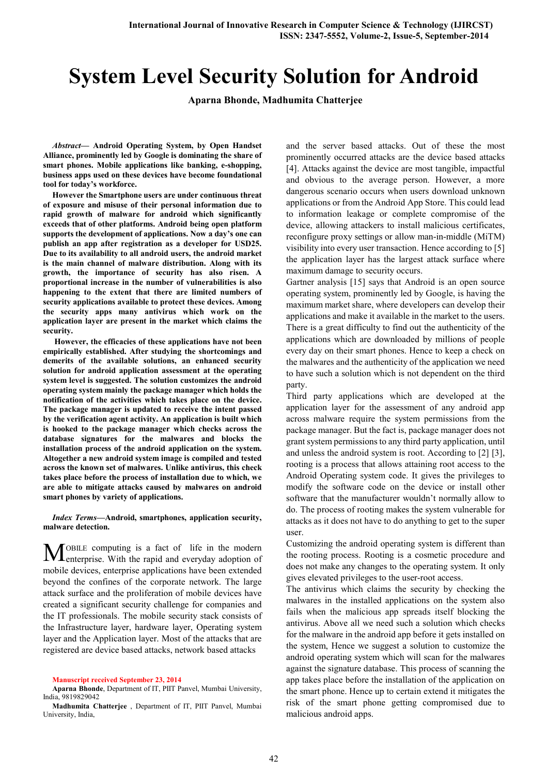# System Level Security Solution for Android

Aparna Bhonde, Madhumita Chatterjee

*Abstract*— Android Operating System, by Open Handset Alliance, prominently led by Google is dominating the share of smart phones. Mobile applications like banking, e-shopping, business apps used on these devices have become foundational tool for today's workforce.

However the Smartphone users are under continuous threat of exposure and misuse of their personal information due to rapid growth of malware for android which significantly exceeds that of other platforms. Android being open platform supports the development of applications. Now a day's one can publish an app after registration as a developer for USD25. Due to its availability to all android users, the android market is the main channel of malware distribution. Along with its growth, the importance of security has also risen. A proportional increase in the number of vulnerabilities is also happening to the extent that there are limited numbers of security applications available to protect these devices. Among the security apps many antivirus which work on the application layer are present in the market which claims the security.

However, the efficacies of these applications have not been empirically established. After studying the shortcomings and demerits of the available solutions, an enhanced security solution for android application assessment at the operating system level is suggested. The solution customizes the android operating system mainly the package manager which holds the notification of the activities which takes place on the device. The package manager is updated to receive the intent passed by the verification agent activity. An application is built which is hooked to the package manager which checks across the database signatures for the malwares and blocks the installation process of the android application on the system. Altogether a new android system image is compiled and tested across the known set of malwares. Unlike antivirus, this check takes place before the process of installation due to which, we are able to mitigate attacks caused by malwares on android smart phones by variety of applications.

#### *Index Terms*—Android, smartphones, application security, malware detection.

OBILE computing is a fact of life in the modern **MOBILE** computing is a fact of life in the modern enterprise. With the rapid and everyday adoption of mobile devices, enterprise applications have been extended beyond the confines of the corporate network. The large attack surface and the proliferation of mobile devices have created a significant security challenge for companies and the IT professionals. The mobile security stack consists of the Infrastructure layer, hardware layer, Operating system layer and the Application layer. Most of the attacks that are registered are device based attacks, network based attacks

Aparna Bhonde, Department of IT, PIIT Panvel, Mumbai University, India, 9819829042

and the server based attacks. Out of these the most prominently occurred attacks are the device based attacks [4]. Attacks against the device are most tangible, impactful and obvious to the average person. However, a more dangerous scenario occurs when users download unknown applications or from the Android App Store. This could lead to information leakage or complete compromise of the device, allowing attackers to install malicious certificates, reconfigure proxy settings or allow man-in-middle (MiTM) visibility into every user transaction. Hence according to [5] the application layer has the largest attack surface where maximum damage to security occurs.

Gartner analysis [15] says that Android is an open source operating system, prominently led by Google, is having the maximum market share, where developers can develop their applications and make it available in the market to the users. There is a great difficulty to find out the authenticity of the applications which are downloaded by millions of people every day on their smart phones. Hence to keep a check on the malwares and the authenticity of the application we need to have such a solution which is not dependent on the third party.

Third party applications which are developed at the application layer for the assessment of any android app across malware require the system permissions from the package manager. But the fact is, package manager does not grant system permissions to any third party application, until and unless the android system is root. According to [2] [3], rooting is a process that allows attaining root access to the Android Operating system code. It gives the privileges to modify the software code on the device or install other software that the manufacturer wouldn't normally allow to do. The process of rooting makes the system vulnerable for attacks as it does not have to do anything to get to the super user.

Customizing the android operating system is different than the rooting process. Rooting is a cosmetic procedure and does not make any changes to the operating system. It only gives elevated privileges to the user-root access.

The antivirus which claims the security by checking the malwares in the installed applications on the system also fails when the malicious app spreads itself blocking the antivirus. Above all we need such a solution which checks for the malware in the android app before it gets installed on the system, Hence we suggest a solution to customize the android operating system which will scan for the malwares against the signature database. This process of scanning the app takes place before the installation of the application on the smart phone. Hence up to certain extend it mitigates the risk of the smart phone getting compromised due to malicious android apps.

Manuscript received September 23, 2014

Madhumita Chatterjee , Department of IT, PIIT Panvel, Mumbai University, India,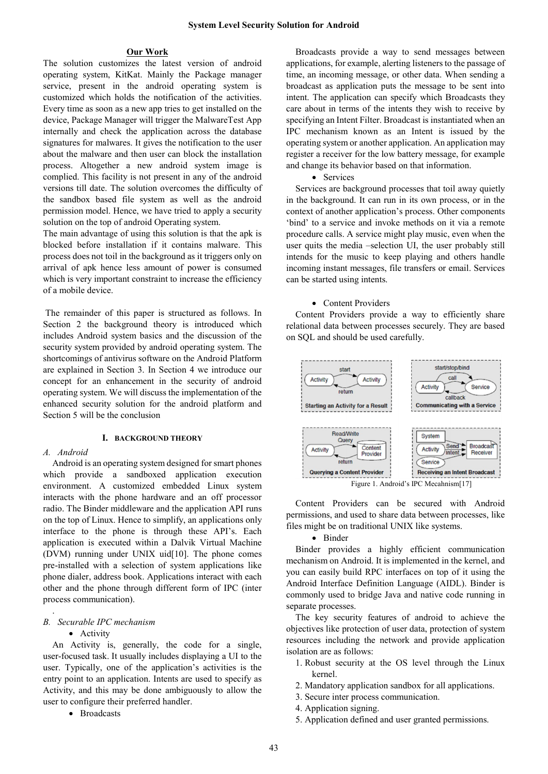# Our Work

The solution customizes the latest version of android operating system, KitKat. Mainly the Package manager service, present in the android operating system is customized which holds the notification of the activities. Every time as soon as a new app tries to get installed on the device, Package Manager will trigger the MalwareTest App internally and check the application across the database signatures for malwares. It gives the notification to the user about the malware and then user can block the installation process. Altogether a new android system image is complied. This facility is not present in any of the android versions till date. The solution overcomes the difficulty of the sandbox based file system as well as the android permission model. Hence, we have tried to apply a security solution on the top of android Operating system.

The main advantage of using this solution is that the apk is blocked before installation if it contains malware. This process does not toil in the background as it triggers only on arrival of apk hence less amount of power is consumed which is very important constraint to increase the efficiency of a mobile device.

The remainder of this paper is structured as follows. In Section 2 the background theory is introduced which includes Android system basics and the discussion of the security system provided by android operating system. The shortcomings of antivirus software on the Android Platform are explained in Section 3. In Section 4 we introduce our concept for an enhancement in the security of android operating system. We will discuss the implementation of the enhanced security solution for the android platform and Section 5 will be the conclusion

#### I. BACKGROUND THEORY

# *A. Android*

Android is an operating system designed for smart phones which provide a sandboxed application execution environment. A customized embedded Linux system interacts with the phone hardware and an off processor radio. The Binder middleware and the application API runs on the top of Linux. Hence to simplify, an applications only interface to the phone is through these API's. Each application is executed within a Dalvik Virtual Machine (DVM) running under UNIX uid[10]. The phone comes pre-installed with a selection of system applications like phone dialer, address book. Applications interact with each other and the phone through different form of IPC (inter process communication).

# *B. Securable IPC mechanism*

# • Activity

.

An Activity is, generally, the code for a single, user-focused task. It usually includes displaying a UI to the user. Typically, one of the application's activities is the entry point to an application. Intents are used to specify as Activity, and this may be done ambiguously to allow the user to configure their preferred handler.

• Broadcasts

Broadcasts provide a way to send messages between applications, for example, alerting listeners to the passage of time, an incoming message, or other data. When sending a broadcast as application puts the message to be sent into intent. The application can specify which Broadcasts they care about in terms of the intents they wish to receive by specifying an Intent Filter. Broadcast is instantiated when an IPC mechanism known as an Intent is issued by the operating system or another application. An application may register a receiver for the low battery message, for example and change its behavior based on that information.

#### • Services

Services are background processes that toil away quietly in the background. It can run in its own process, or in the context of another application's process. Other components 'bind' to a service and invoke methods on it via a remote procedure calls. A service might play music, even when the user quits the media –selection UI, the user probably still intends for the music to keep playing and others handle incoming instant messages, file transfers or email. Services can be started using intents.

### • Content Providers

Content Providers provide a way to efficiently share relational data between processes securely. They are based on SQL and should be used carefully.



Content Providers can be secured with Android permissions, and used to share data between processes, like files might be on traditional UNIX like systems.

#### • Binder

Binder provides a highly efficient communication mechanism on Android. It is implemented in the kernel, and you can easily build RPC interfaces on top of it using the Android Interface Definition Language (AIDL). Binder is commonly used to bridge Java and native code running in separate processes.

The key security features of android to achieve the objectives like protection of user data, protection of system resources including the network and provide application isolation are as follows:

- 1. Robust security at the OS level through the Linux kernel.
- 2. Mandatory application sandbox for all applications.
- 3. Secure inter process communication.
- 4. Application signing.
- 5. Application defined and user granted permissions.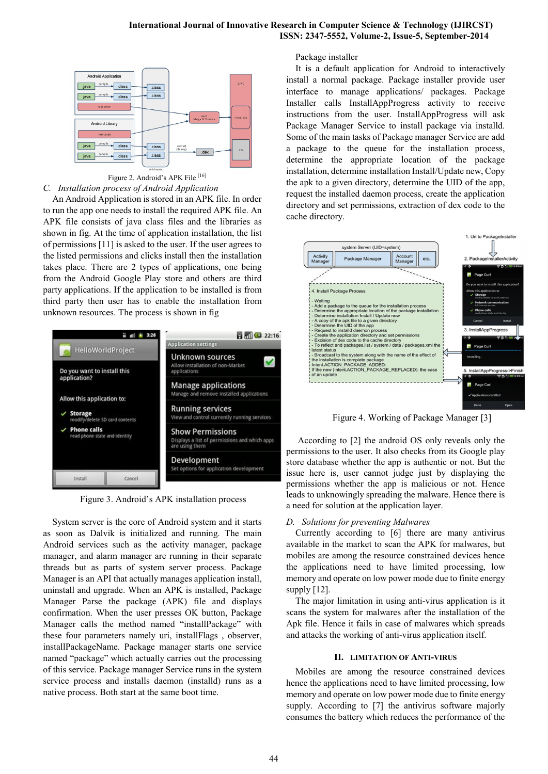

Figure 2. Android's APK File [16] *C. Installation process of Android Application*

An Android Application is stored in an APK file. In order to run the app one needs to install the required APK file. An APK file consists of java class files and the libraries as shown in fig. At the time of application installation, the list of permissions [11] is asked to the user. If the user agrees to the listed permissions and clicks install then the installation takes place. There are 2 types of applications, one being from the Android Google Play store and others are third party applications. If the application to be installed is from third party then user has to enable the installation from unknown resources. The process is shown in fig



Figure 3. Android's APK installation process

System server is the core of Android system and it starts as soon as Dalvik is initialized and running. The main Android services such as the activity manager, package manager, and alarm manager are running in their separate threads but as parts of system server process. Package Manager is an API that actually manages application install, uninstall and upgrade. When an APK is installed, Package Manager Parse the package (APK) file and displays confirmation. When the user presses OK button, Package Manager calls the method named "installPackage" with these four parameters namely uri, installFlags , observer, installPackageName. Package manager starts one service named "package" which actually carries out the processing of this service. Package manager Service runs in the system service process and installs daemon (installd) runs as a native process. Both start at the same boot time.

Package installer

It is a default application for Android to interactively install a normal package. Package installer provide user interface to manage applications/ packages. Package Installer calls InstallAppProgress activity to receive instructions from the user. InstallAppProgress will ask Package Manager Service to install package via installd. Some of the main tasks of Package manager Service are add a package to the queue for the installation process, determine the appropriate location of the package installation, determine installation Install/Update new, Copy the apk to a given directory, determine the UID of the app, request the installed daemon process, create the application directory and set permissions, extraction of dex code to the cache directory.



Figure 4. Working of Package Manager [3]

According to [2] the android OS only reveals only the permissions to the user. It also checks from its Google play store database whether the app is authentic or not. But the issue here is, user cannot judge just by displaying the permissions whether the app is malicious or not. Hence leads to unknowingly spreading the malware. Hence there is a need for solution at the application layer.

# *D. Solutions for preventing Malwares*

Currently according to [6] there are many antivirus available in the market to scan the APK for malwares, but mobiles are among the resource constrained devices hence the applications need to have limited processing, low memory and operate on low power mode due to finite energy supply [12].

The major limitation in using anti-virus application is it scans the system for malwares after the installation of the Apk file. Hence it fails in case of malwares which spreads and attacks the working of anti-virus application itself.

#### II. LIMITATION OF ANTI-VIRUS

Mobiles are among the resource constrained devices hence the applications need to have limited processing, low memory and operate on low power mode due to finite energy supply. According to [7] the antivirus software majorly consumes the battery which reduces the performance of the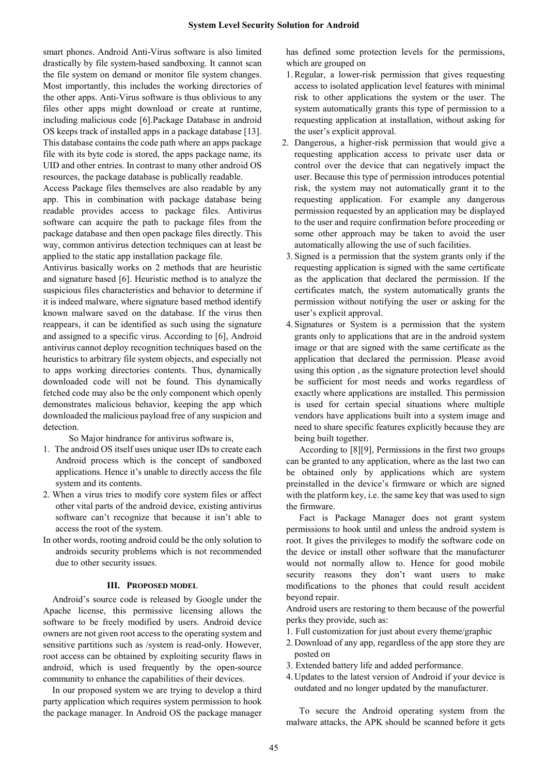smart phones. Android Anti-Virus software is also limited drastically by file system-based sandboxing. It cannot scan the file system on demand or monitor file system changes. Most importantly, this includes the working directories of the other apps. Anti-Virus software is thus oblivious to any files other apps might download or create at runtime, including malicious code [6].Package Database in android OS keeps track of installed apps in a package database [13]. This database contains the code path where an apps package file with its byte code is stored, the apps package name, its UID and other entries. In contrast to many other android OS resources, the package database is publically readable.

Access Package files themselves are also readable by any app. This in combination with package database being readable provides access to package files. Antivirus software can acquire the path to package files from the package database and then open package files directly. This way, common antivirus detection techniques can at least be applied to the static app installation package file.

Antivirus basically works on 2 methods that are heuristic and signature based [6]. Heuristic method is to analyze the suspicious files characteristics and behavior to determine if it is indeed malware, where signature based method identify known malware saved on the database. If the virus then reappears, it can be identified as such using the signature and assigned to a specific virus. According to [6], Android antivirus cannot deploy recognition techniques based on the heuristics to arbitrary file system objects, and especially not to apps working directories contents. Thus, dynamically downloaded code will not be found. This dynamically fetched code may also be the only component which openly demonstrates malicious behavior, keeping the app which downloaded the malicious payload free of any suspicion and detection.

So Major hindrance for antivirus software is,

- 1. The android OS itself uses unique user IDs to create each Android process which is the concept of sandboxed applications. Hence it's unable to directly access the file system and its contents.
- 2. When a virus tries to modify core system files or affect other vital parts of the android device, existing antivirus software can't recognize that because it isn't able to access the root of the system.
- In other words, rooting android could be the only solution to androids security problems which is not recommended due to other security issues.

#### III. PROPOSED MODEL

Android's source code is released by Google under the Apache license, this permissive licensing allows the software to be freely modified by users. Android device owners are not given root access to the operating system and sensitive partitions such as /system is read-only. However, root access can be obtained by exploiting security flaws in android, which is used frequently by the open-source community to enhance the capabilities of their devices.

In our proposed system we are trying to develop a third party application which requires system permission to hook the package manager. In Android OS the package manager has defined some protection levels for the permissions, which are grouped on

- 1.Regular, a lower-risk permission that gives requesting access to isolated application level features with minimal risk to other applications the system or the user. The system automatically grants this type of permission to a requesting application at installation, without asking for the user's explicit approval.
- 2. Dangerous, a higher-risk permission that would give a requesting application access to private user data or control over the device that can negatively impact the user. Because this type of permission introduces potential risk, the system may not automatically grant it to the requesting application. For example any dangerous permission requested by an application may be displayed to the user and require confirmation before proceeding or some other approach may be taken to avoid the user automatically allowing the use of such facilities.
- 3. Signed is a permission that the system grants only if the requesting application is signed with the same certificate as the application that declared the permission. If the certificates match, the system automatically grants the permission without notifying the user or asking for the user's explicit approval.
- 4. Signatures or System is a permission that the system grants only to applications that are in the android system image or that are signed with the same certificate as the application that declared the permission. Please avoid using this option , as the signature protection level should be sufficient for most needs and works regardless of exactly where applications are installed. This permission is used for certain special situations where multiple vendors have applications built into a system image and need to share specific features explicitly because they are being built together.

According to [8][9], Permissions in the first two groups can be granted to any application, where as the last two can be obtained only by applications which are system preinstalled in the device's firmware or which are signed with the platform key, i.e. the same key that was used to sign the firmware.

Fact is Package Manager does not grant system permissions to hook until and unless the android system is root. It gives the privileges to modify the software code on the device or install other software that the manufacturer would not normally allow to. Hence for good mobile security reasons they don't want users to make modifications to the phones that could result accident beyond repair.

Android users are restoring to them because of the powerful perks they provide, such as:

- 1. Full customization for just about every theme/graphic
- 2. Download of any app, regardless of the app store they are posted on
- 3. Extended battery life and added performance.
- 4. Updates to the latest version of Android if your device is outdated and no longer updated by the manufacturer.

To secure the Android operating system from the malware attacks, the APK should be scanned before it gets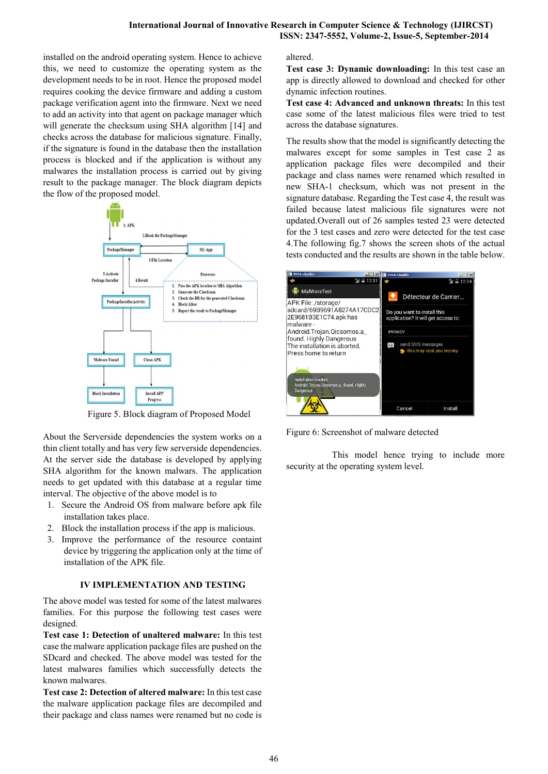installed on the android operating system. Hence to achieve this, we need to customize the operating system as the development needs to be in root. Hence the proposed model requires cooking the device firmware and adding a custom package verification agent into the firmware. Next we need to add an activity into that agent on package manager which will generate the checksum using SHA algorithm [14] and checks across the database for malicious signature. Finally, if the signature is found in the database then the installation process is blocked and if the application is without any malwares the installation process is carried out by giving result to the package manager. The block diagram depicts the flow of the proposed model.



Figure 5. Block diagram of Proposed Model

About the Serverside dependencies the system works on a thin client totally and has very few serverside dependencies. At the server side the database is developed by applying SHA algorithm for the known malwars. The application needs to get updated with this database at a regular time interval. The objective of the above model is to

- 1. Secure the Android OS from malware before apk file installation takes place.
- 2. Block the installation process if the app is malicious.
- 3. Improve the performance of the resource containt device by triggering the application only at the time of installation of the APK file.

# IV IMPLEMENTATION AND TESTING

The above model was tested for some of the latest malwares families. For this purpose the following test cases were designed.

Test case 1: Detection of unaltered malware: In this test case the malware application package files are pushed on the SDcard and checked. The above model was tested for the latest malwares families which successfully detects the known malwares.

Test case 2: Detection of altered malware: In this test case the malware application package files are decompiled and their package and class names were renamed but no code is

altered.

Test case 3: Dynamic downloading: In this test case an app is directly allowed to download and checked for other dynamic infection routines.

Test case 4: Advanced and unknown threats: In this test case some of the latest malicious files were tried to test across the database signatures.

The results show that the model is significantly detecting the malwares except for some samples in Test case 2 as application package files were decompiled and their package and class names were renamed which resulted in new SHA-1 checksum, which was not present in the signature database. Regarding the Test case 4, the result was failed because latest malicious file signatures were not updated.Overall out of 26 samples tested 23 were detected for the 3 test cases and zero were detected for the test case 4.The following fig.7 shows the screen shots of the actual tests conducted and the results are shown in the table below.



Figure 6: Screenshot of malware detected

This model hence trying to include more security at the operating system level.